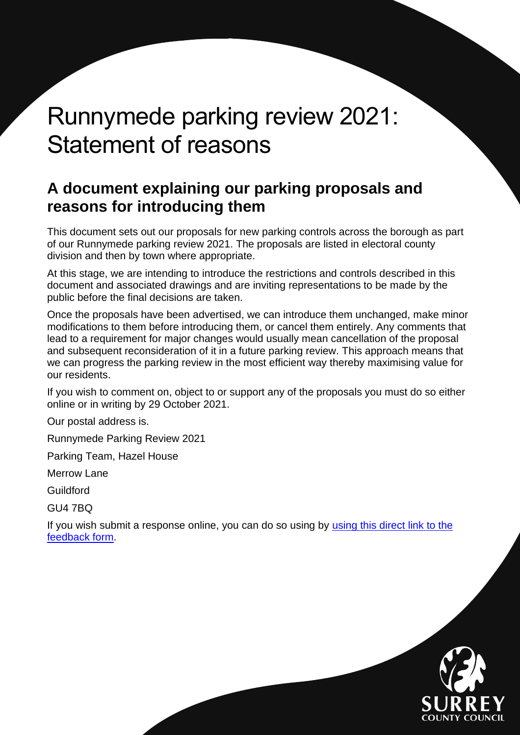# Runnymede parking review 2021: Statement of reasons

# <span id="page-0-0"></span>**A document explaining our parking proposals and reasons for introducing them**

This document sets out our proposals for new parking controls across the borough as part of our Runnymede parking review 2021. The proposals are listed in electoral county division and then by town where appropriate.

At this stage, we are intending to introduce the restrictions and controls described in this document and associated drawings and are inviting representations to be made by the public before the final decisions are taken.

Once the proposals have been advertised, we can introduce them unchanged, make minor modifications to them before introducing them, or cancel them entirely. Any comments that lead to a requirement for major changes would usually mean cancellation of the proposal and subsequent reconsideration of it in a future parking review. This approach means that we can progress the parking review in the most efficient way thereby maximising value for our residents.

If you wish to comment on, object to or support any of the proposals you must do so either online or in writing by 29 October 2021.

Our postal address is.

Runnymede Parking Review 2021

Parking Team, Hazel House

Merrow Lane

Guildford

GU4 7BQ

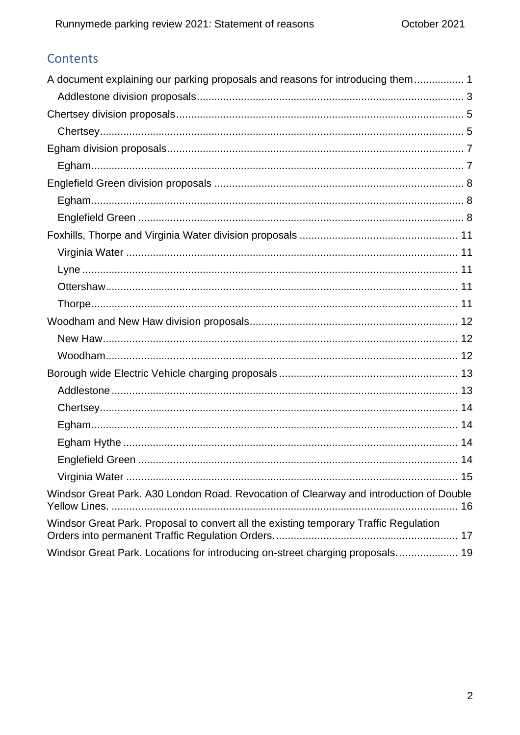# Contents

| A document explaining our parking proposals and reasons for introducing them 1         |
|----------------------------------------------------------------------------------------|
|                                                                                        |
|                                                                                        |
|                                                                                        |
|                                                                                        |
|                                                                                        |
|                                                                                        |
|                                                                                        |
|                                                                                        |
|                                                                                        |
|                                                                                        |
|                                                                                        |
|                                                                                        |
|                                                                                        |
|                                                                                        |
|                                                                                        |
|                                                                                        |
|                                                                                        |
|                                                                                        |
|                                                                                        |
|                                                                                        |
|                                                                                        |
|                                                                                        |
|                                                                                        |
| Windsor Great Park. A30 London Road. Revocation of Clearway and introduction of Double |
| Windsor Great Park. Proposal to convert all the existing temporary Traffic Regulation  |
| Windsor Great Park. Locations for introducing on-street charging proposals.  19        |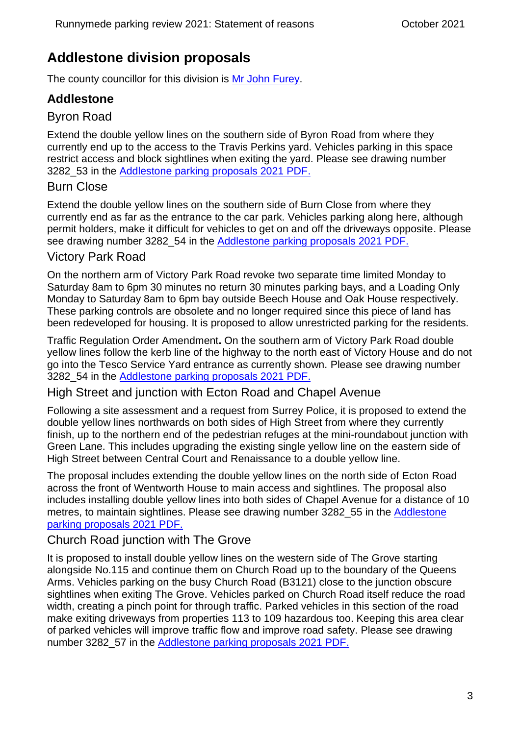# <span id="page-2-0"></span>**Addlestone division proposals**

The county councillor for this division is [Mr John Furey.](https://mycouncil.surreycc.gov.uk/mgUserInfo.aspx?UID=144)

# **Addlestone**

### Byron Road

Extend the double yellow lines on the southern side of Byron Road from where they currently end up to the access to the Travis Perkins yard. Vehicles parking in this space restrict access and block sightlines when exiting the yard. Please see drawing number 3282\_53 in the [Addlestone parking proposals 2021 PDF.](https://www.surreycc.gov.uk/__data/assets/pdf_file/0014/271301/2021-Addlestone-parking-proposals.pdf)

#### Burn Close

Extend the double yellow lines on the southern side of Burn Close from where they currently end as far as the entrance to the car park. Vehicles parking along here, although permit holders, make it difficult for vehicles to get on and off the driveways opposite. Please see drawing number 3282 54 in the [Addlestone parking proposals 2021 PDF.](https://www.surreycc.gov.uk/__data/assets/pdf_file/0014/271301/2021-Addlestone-parking-proposals.pdf)

#### Victory Park Road

On the northern arm of Victory Park Road revoke two separate time limited Monday to Saturday 8am to 6pm 30 minutes no return 30 minutes parking bays, and a Loading Only Monday to Saturday 8am to 6pm bay outside Beech House and Oak House respectively. These parking controls are obsolete and no longer required since this piece of land has been redeveloped for housing. It is proposed to allow unrestricted parking for the residents.

Traffic Regulation Order Amendment**.** On the southern arm of Victory Park Road double yellow lines follow the kerb line of the highway to the north east of Victory House and do not go into the Tesco Service Yard entrance as currently shown. Please see drawing number 3282\_54 in the [Addlestone parking proposals 2021 PDF.](https://www.surreycc.gov.uk/__data/assets/pdf_file/0014/271301/2021-Addlestone-parking-proposals.pdf)

High Street and junction with Ecton Road and Chapel Avenue

Following a site assessment and a request from Surrey Police, it is proposed to extend the double yellow lines northwards on both sides of High Street from where they currently finish, up to the northern end of the pedestrian refuges at the mini-roundabout junction with Green Lane. This includes upgrading the existing single yellow line on the eastern side of High Street between Central Court and Renaissance to a double yellow line.

The proposal includes extending the double yellow lines on the north side of Ecton Road across the front of Wentworth House to main access and sightlines. The proposal also includes installing double yellow lines into both sides of Chapel Avenue for a distance of 10 metres, to maintain sightlines. Please see drawing number 3282 55 in the Addlestone [parking proposals 2021 PDF.](https://www.surreycc.gov.uk/__data/assets/pdf_file/0014/271301/2021-Addlestone-parking-proposals.pdf)

#### Church Road junction with The Grove

It is proposed to install double yellow lines on the western side of The Grove starting alongside No.115 and continue them on Church Road up to the boundary of the Queens Arms. Vehicles parking on the busy Church Road (B3121) close to the junction obscure sightlines when exiting The Grove. Vehicles parked on Church Road itself reduce the road width, creating a pinch point for through traffic. Parked vehicles in this section of the road make exiting driveways from properties 113 to 109 hazardous too. Keeping this area clear of parked vehicles will improve traffic flow and improve road safety. Please see drawing number 3282\_57 in the [Addlestone parking proposals 2021 PDF.](https://www.surreycc.gov.uk/__data/assets/pdf_file/0014/271301/2021-Addlestone-parking-proposals.pdf)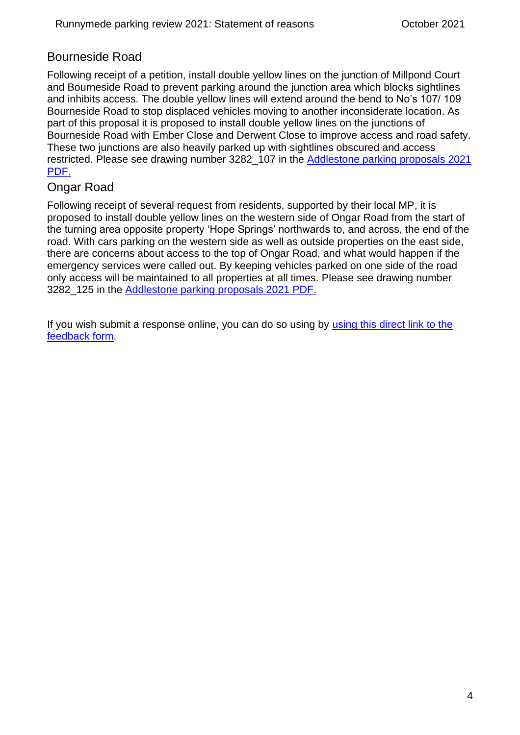### Bourneside Road

Following receipt of a petition, install double yellow lines on the junction of Millpond Court and Bourneside Road to prevent parking around the junction area which blocks sightlines and inhibits access. The double yellow lines will extend around the bend to No's 107/ 109 Bourneside Road to stop displaced vehicles moving to another inconsiderate location. As part of this proposal it is proposed to install double yellow lines on the junctions of Bourneside Road with Ember Close and Derwent Close to improve access and road safety. These two junctions are also heavily parked up with sightlines obscured and access restricted. Please see drawing number 3282\_107 in the [Addlestone parking proposals 2021](https://www.surreycc.gov.uk/__data/assets/pdf_file/0014/271301/2021-Addlestone-parking-proposals.pdf)  [PDF.](https://www.surreycc.gov.uk/__data/assets/pdf_file/0014/271301/2021-Addlestone-parking-proposals.pdf)

### Ongar Road

Following receipt of several request from residents, supported by their local MP, it is proposed to install double yellow lines on the western side of Ongar Road from the start of the turning area opposite property 'Hope Springs' northwards to, and across, the end of the road. With cars parking on the western side as well as outside properties on the east side, there are concerns about access to the top of Ongar Road, and what would happen if the emergency services were called out. By keeping vehicles parked on one side of the road only access will be maintained to all properties at all times. Please see drawing number 3282\_125 in the [Addlestone parking proposals 2021 PDF.](https://www.surreycc.gov.uk/__data/assets/pdf_file/0014/271301/2021-Addlestone-parking-proposals.pdf)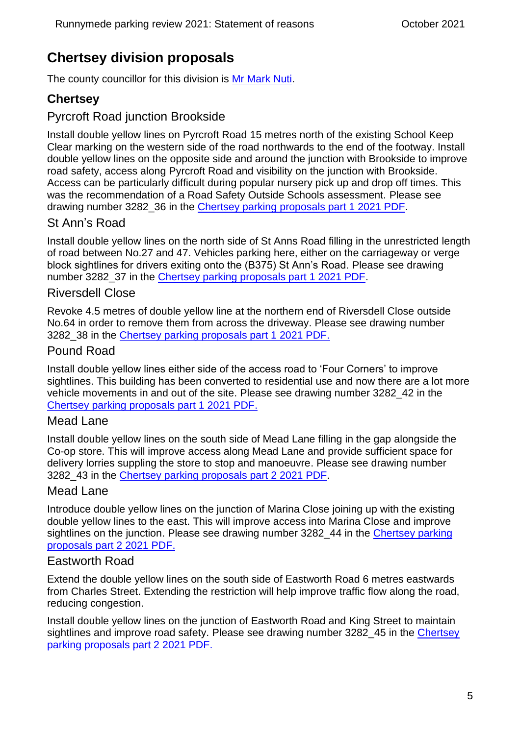# <span id="page-4-0"></span>**Chertsey division proposals**

The county councillor for this division is [Mr Mark Nuti.](https://mycouncil.surreycc.gov.uk/mgUserInfo.aspx?UID=2115)

# <span id="page-4-1"></span>**Chertsey**

# Pyrcroft Road junction Brookside

Install double yellow lines on Pyrcroft Road 15 metres north of the existing School Keep Clear marking on the western side of the road northwards to the end of the footway. Install double yellow lines on the opposite side and around the junction with Brookside to improve road safety, access along Pyrcroft Road and visibility on the junction with Brookside. Access can be particularly difficult during popular nursery pick up and drop off times. This was the recommendation of a Road Safety Outside Schools assessment. Please see drawing number 3282\_36 in the [Chertsey parking proposals part 1 2021 PDF.](https://www.surreycc.gov.uk/__data/assets/pdf_file/0003/271227/Chertsey-parking-proposals-2021-part-1.pdf)

# St Ann's Road

Install double yellow lines on the north side of St Anns Road filling in the unrestricted length of road between No.27 and 47. Vehicles parking here, either on the carriageway or verge block sightlines for drivers exiting onto the (B375) St Ann's Road. Please see drawing number 3282\_37 in the [Chertsey parking proposals part 1 2021 PDF.](https://www.surreycc.gov.uk/__data/assets/pdf_file/0003/271227/Chertsey-parking-proposals-2021-part-1.pdf)

#### Riversdell Close

Revoke 4.5 metres of double yellow line at the northern end of Riversdell Close outside No.64 in order to remove them from across the driveway. Please see drawing number 3282\_38 in the [Chertsey parking proposals part 1 2021 PDF.](https://www.surreycc.gov.uk/__data/assets/pdf_file/0003/271227/Chertsey-parking-proposals-2021-part-1.pdf)

#### Pound Road

Install double yellow lines either side of the access road to 'Four Corners' to improve sightlines. This building has been converted to residential use and now there are a lot more vehicle movements in and out of the site. Please see drawing number 3282\_42 in the [Chertsey parking proposals part 1 2021 PDF.](https://www.surreycc.gov.uk/__data/assets/pdf_file/0003/271227/Chertsey-parking-proposals-2021-part-1.pdf)

#### Mead Lane

Install double yellow lines on the south side of Mead Lane filling in the gap alongside the Co-op store. This will improve access along Mead Lane and provide sufficient space for delivery lorries suppling the store to stop and manoeuvre. Please see drawing number 3282\_43 in the [Chertsey parking proposals part 2 2021 PDF.](https://www.surreycc.gov.uk/__data/assets/pdf_file/0004/271228/Chertsey-parking-proposals-2021-part-2.pdf)

#### Mead Lane

Introduce double yellow lines on the junction of Marina Close joining up with the existing double yellow lines to the east. This will improve access into Marina Close and improve sightlines on the junction. Please see drawing number 3282 44 in the Chertsey parking [proposals part 2 2021 PDF.](https://www.surreycc.gov.uk/__data/assets/pdf_file/0004/271228/Chertsey-parking-proposals-2021-part-2.pdf)

#### Eastworth Road

Extend the double yellow lines on the south side of Eastworth Road 6 metres eastwards from Charles Street. Extending the restriction will help improve traffic flow along the road, reducing congestion.

Install double yellow lines on the junction of Eastworth Road and King Street to maintain sightlines and improve road safety. Please see drawing number 3282\_45 in the [Chertsey](https://www.surreycc.gov.uk/__data/assets/pdf_file/0004/271228/Chertsey-parking-proposals-2021-part-2.pdf)  [parking proposals part 2 2021 PDF.](https://www.surreycc.gov.uk/__data/assets/pdf_file/0004/271228/Chertsey-parking-proposals-2021-part-2.pdf)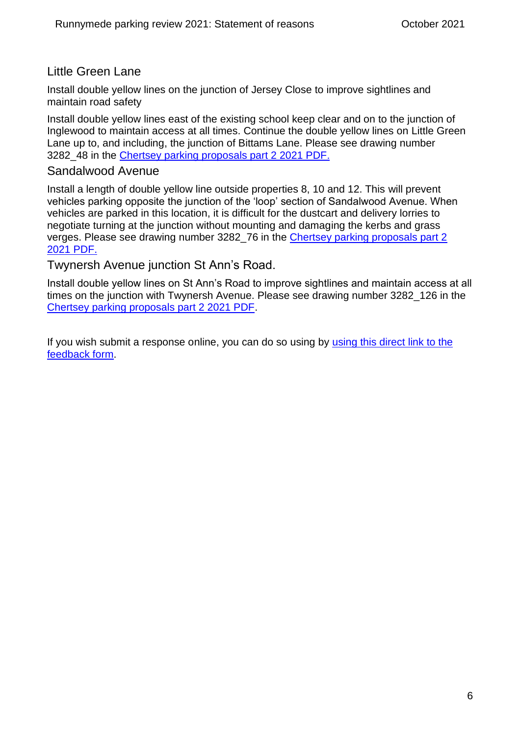#### Little Green Lane

Install double yellow lines on the junction of Jersey Close to improve sightlines and maintain road safety

Install double yellow lines east of the existing school keep clear and on to the junction of Inglewood to maintain access at all times. Continue the double yellow lines on Little Green Lane up to, and including, the junction of Bittams Lane. Please see drawing number 3282\_48 in the [Chertsey parking proposals part 2 2021 PDF.](https://www.surreycc.gov.uk/__data/assets/pdf_file/0004/271228/Chertsey-parking-proposals-2021-part-2.pdf)

#### Sandalwood Avenue

Install a length of double yellow line outside properties 8, 10 and 12. This will prevent vehicles parking opposite the junction of the 'loop' section of Sandalwood Avenue. When vehicles are parked in this location, it is difficult for the dustcart and delivery lorries to negotiate turning at the junction without mounting and damaging the kerbs and grass verges. Please see drawing number 3282\_76 in the [Chertsey parking proposals part 2](https://www.surreycc.gov.uk/__data/assets/pdf_file/0004/271228/Chertsey-parking-proposals-2021-part-2.pdf)  [2021 PDF.](https://www.surreycc.gov.uk/__data/assets/pdf_file/0004/271228/Chertsey-parking-proposals-2021-part-2.pdf)

Twynersh Avenue junction St Ann's Road.

Install double yellow lines on St Ann's Road to improve sightlines and maintain access at all times on the junction with Twynersh Avenue. Please see drawing number 3282\_126 in the [Chertsey parking proposals part 2 2021 PDF.](https://www.surreycc.gov.uk/__data/assets/pdf_file/0004/271228/Chertsey-parking-proposals-2021-part-2.pdf)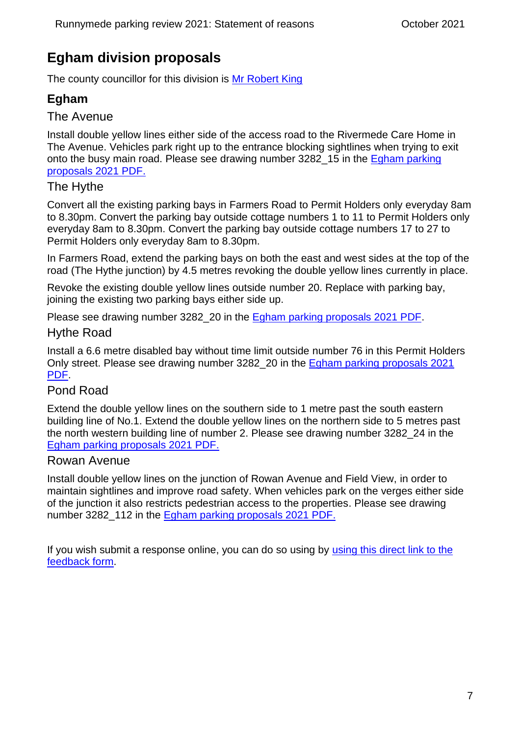# <span id="page-6-0"></span>**Egham division proposals**

The county councillor for this division is [Mr Robert King](https://mycouncil.surreycc.gov.uk/mgUserInfo.aspx?UID=3326)

# <span id="page-6-1"></span>**Egham**

#### The Avenue

Install double yellow lines either side of the access road to the Rivermede Care Home in The Avenue. Vehicles park right up to the entrance blocking sightlines when trying to exit onto the busy main road. Please see drawing number 3282\_15 in the [Egham parking](https://www.surreycc.gov.uk/__data/assets/pdf_file/0005/271229/Egham-parking-proposals-2021.pdf)  [proposals 2021 PDF.](https://www.surreycc.gov.uk/__data/assets/pdf_file/0005/271229/Egham-parking-proposals-2021.pdf)

#### The Hythe

Convert all the existing parking bays in Farmers Road to Permit Holders only everyday 8am to 8.30pm. Convert the parking bay outside cottage numbers 1 to 11 to Permit Holders only everyday 8am to 8.30pm. Convert the parking bay outside cottage numbers 17 to 27 to Permit Holders only everyday 8am to 8.30pm.

In Farmers Road, extend the parking bays on both the east and west sides at the top of the road (The Hythe junction) by 4.5 metres revoking the double yellow lines currently in place.

Revoke the existing double yellow lines outside number 20. Replace with parking bay, joining the existing two parking bays either side up.

Please see drawing number 3282\_20 in the [Egham parking proposals 2021 PDF.](https://www.surreycc.gov.uk/__data/assets/pdf_file/0005/271229/Egham-parking-proposals-2021.pdf)

#### Hythe Road

Install a 6.6 metre disabled bay without time limit outside number 76 in this Permit Holders Only street. Please see drawing number 3282\_20 in the [Egham parking proposals 2021](https://www.surreycc.gov.uk/__data/assets/pdf_file/0005/271229/Egham-parking-proposals-2021.pdf)  [PDF.](https://www.surreycc.gov.uk/__data/assets/pdf_file/0005/271229/Egham-parking-proposals-2021.pdf)

#### Pond Road

Extend the double yellow lines on the southern side to 1 metre past the south eastern building line of No.1. Extend the double yellow lines on the northern side to 5 metres past the north western building line of number 2. Please see drawing number 3282\_24 in the [Egham parking proposals 2021 PDF.](https://www.surreycc.gov.uk/__data/assets/pdf_file/0005/271229/Egham-parking-proposals-2021.pdf)

#### Rowan Avenue

Install double yellow lines on the junction of Rowan Avenue and Field View, in order to maintain sightlines and improve road safety. When vehicles park on the verges either side of the junction it also restricts pedestrian access to the properties. Please see drawing number 3282\_112 in the [Egham parking proposals 2021 PDF.](https://www.surreycc.gov.uk/__data/assets/pdf_file/0005/271229/Egham-parking-proposals-2021.pdf)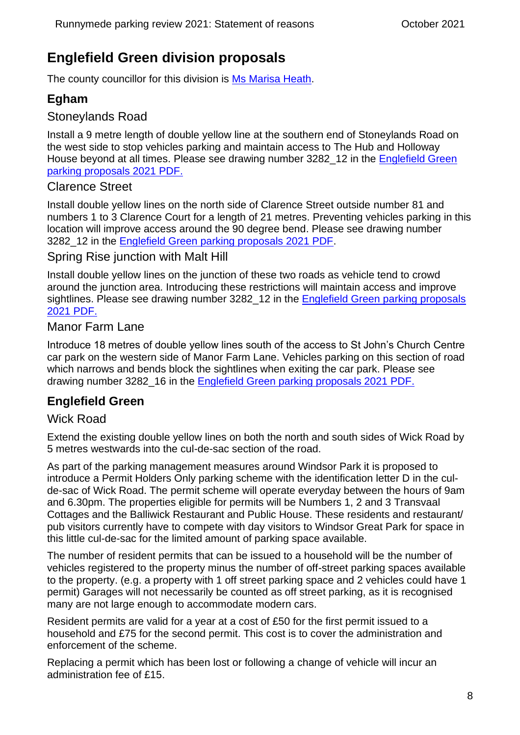# <span id="page-7-0"></span>**Englefield Green division proposals**

The county councillor for this division is [Ms Marisa Heath.](https://mycouncil.surreycc.gov.uk/mgUserInfo.aspx?UID=154)

# <span id="page-7-1"></span>**Egham**

### Stoneylands Road

Install a 9 metre length of double yellow line at the southern end of Stoneylands Road on the west side to stop vehicles parking and maintain access to The Hub and Holloway House beyond at all times. Please see drawing number 3282 12 in the Englefield Green [parking proposals 2021 PDF.](https://www.surreycc.gov.uk/__data/assets/pdf_file/0016/271231/Englefield-Green-parking-proposals-2021.pdf)

#### Clarence Street

Install double yellow lines on the north side of Clarence Street outside number 81 and numbers 1 to 3 Clarence Court for a length of 21 metres. Preventing vehicles parking in this location will improve access around the 90 degree bend. Please see drawing number 3282\_12 in the [Englefield Green parking proposals 2021 PDF.](https://www.surreycc.gov.uk/__data/assets/pdf_file/0016/271231/Englefield-Green-parking-proposals-2021.pdf)

#### Spring Rise junction with Malt Hill

Install double yellow lines on the junction of these two roads as vehicle tend to crowd around the junction area. Introducing these restrictions will maintain access and improve sightlines. Please see drawing number 3282\_12 in the [Englefield Green parking proposals](https://www.surreycc.gov.uk/__data/assets/pdf_file/0016/271231/Englefield-Green-parking-proposals-2021.pdf)  [2021 PDF.](https://www.surreycc.gov.uk/__data/assets/pdf_file/0016/271231/Englefield-Green-parking-proposals-2021.pdf)

#### Manor Farm Lane

Introduce 18 metres of double yellow lines south of the access to St John's Church Centre car park on the western side of Manor Farm Lane. Vehicles parking on this section of road which narrows and bends block the sightlines when exiting the car park. Please see drawing number 3282\_16 in the [Englefield Green parking proposals 2021 PDF.](https://www.surreycc.gov.uk/__data/assets/pdf_file/0016/271231/Englefield-Green-parking-proposals-2021.pdf)

### <span id="page-7-2"></span>**Englefield Green**

### Wick Road

Extend the existing double yellow lines on both the north and south sides of Wick Road by 5 metres westwards into the cul-de-sac section of the road.

As part of the parking management measures around Windsor Park it is proposed to introduce a Permit Holders Only parking scheme with the identification letter D in the culde-sac of Wick Road. The permit scheme will operate everyday between the hours of 9am and 6.30pm. The properties eligible for permits will be Numbers 1, 2 and 3 Transvaal Cottages and the Balliwick Restaurant and Public House. These residents and restaurant/ pub visitors currently have to compete with day visitors to Windsor Great Park for space in this little cul-de-sac for the limited amount of parking space available.

The number of resident permits that can be issued to a household will be the number of vehicles registered to the property minus the number of off-street parking spaces available to the property. (e.g. a property with 1 off street parking space and 2 vehicles could have 1 permit) Garages will not necessarily be counted as off street parking, as it is recognised many are not large enough to accommodate modern cars.

Resident permits are valid for a year at a cost of £50 for the first permit issued to a household and £75 for the second permit. This cost is to cover the administration and enforcement of the scheme.

Replacing a permit which has been lost or following a change of vehicle will incur an administration fee of £15.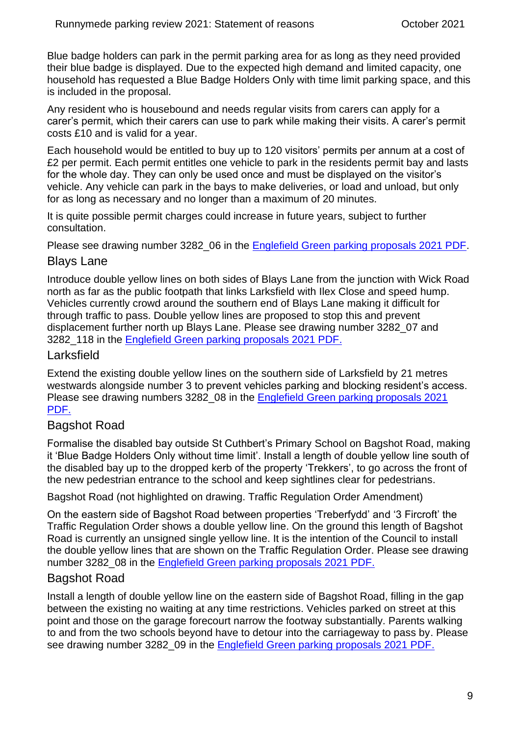Blue badge holders can park in the permit parking area for as long as they need provided their blue badge is displayed. Due to the expected high demand and limited capacity, one household has requested a Blue Badge Holders Only with time limit parking space, and this is included in the proposal.

Any resident who is housebound and needs regular visits from carers can apply for a carer's permit, which their carers can use to park while making their visits. A carer's permit costs £10 and is valid for a year.

Each household would be entitled to buy up to 120 visitors' permits per annum at a cost of £2 per permit. Each permit entitles one vehicle to park in the residents permit bay and lasts for the whole day. They can only be used once and must be displayed on the visitor's vehicle. Any vehicle can park in the bays to make deliveries, or load and unload, but only for as long as necessary and no longer than a maximum of 20 minutes.

It is quite possible permit charges could increase in future years, subject to further consultation.

Please see drawing number 3282 06 in the [Englefield Green parking proposals 2021 PDF.](https://www.surreycc.gov.uk/__data/assets/pdf_file/0016/271231/Englefield-Green-parking-proposals-2021.pdf)

#### Blays Lane

Introduce double yellow lines on both sides of Blays Lane from the junction with Wick Road north as far as the public footpath that links Larksfield with Ilex Close and speed hump. Vehicles currently crowd around the southern end of Blays Lane making it difficult for through traffic to pass. Double yellow lines are proposed to stop this and prevent displacement further north up Blays Lane. Please see drawing number 3282\_07 and 3282\_118 in the [Englefield Green parking proposals 2021 PDF.](https://www.surreycc.gov.uk/__data/assets/pdf_file/0016/271231/Englefield-Green-parking-proposals-2021.pdf)

#### Larksfield

Extend the existing double yellow lines on the southern side of Larksfield by 21 metres westwards alongside number 3 to prevent vehicles parking and blocking resident's access. Please see drawing numbers 3282 08 in the Englefield Green parking proposals 2021 [PDF.](https://www.surreycc.gov.uk/__data/assets/pdf_file/0016/271231/Englefield-Green-parking-proposals-2021.pdf)

### Bagshot Road

Formalise the disabled bay outside St Cuthbert's Primary School on Bagshot Road, making it 'Blue Badge Holders Only without time limit'. Install a length of double yellow line south of the disabled bay up to the dropped kerb of the property 'Trekkers', to go across the front of the new pedestrian entrance to the school and keep sightlines clear for pedestrians.

Bagshot Road (not highlighted on drawing. Traffic Regulation Order Amendment)

On the eastern side of Bagshot Road between properties 'Treberfydd' and '3 Fircroft' the Traffic Regulation Order shows a double yellow line. On the ground this length of Bagshot Road is currently an unsigned single yellow line. It is the intention of the Council to install the double yellow lines that are shown on the Traffic Regulation Order. Please see drawing number 3282\_08 in the [Englefield Green parking proposals 2021 PDF.](https://www.surreycc.gov.uk/__data/assets/pdf_file/0016/271231/Englefield-Green-parking-proposals-2021.pdf)

### Bagshot Road

Install a length of double yellow line on the eastern side of Bagshot Road, filling in the gap between the existing no waiting at any time restrictions. Vehicles parked on street at this point and those on the garage forecourt narrow the footway substantially. Parents walking to and from the two schools beyond have to detour into the carriageway to pass by. Please see drawing number 3282\_09 in the [Englefield Green parking proposals 2021 PDF.](https://www.surreycc.gov.uk/__data/assets/pdf_file/0016/271231/Englefield-Green-parking-proposals-2021.pdf)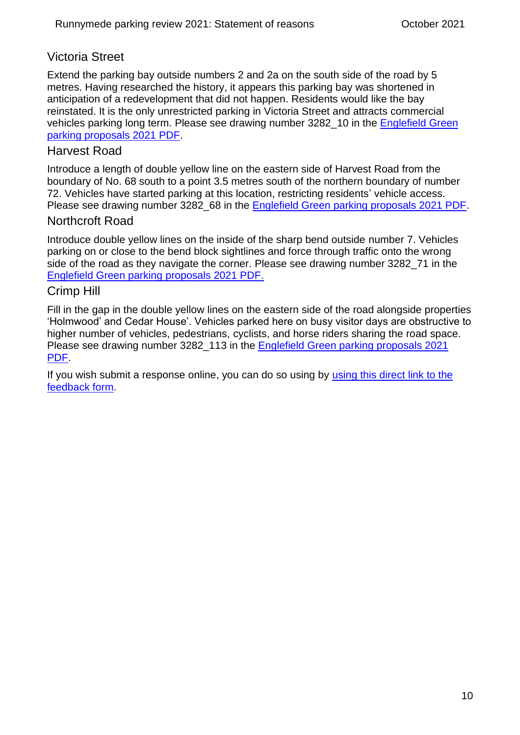### Victoria Street

Extend the parking bay outside numbers 2 and 2a on the south side of the road by 5 metres. Having researched the history, it appears this parking bay was shortened in anticipation of a redevelopment that did not happen. Residents would like the bay reinstated. It is the only unrestricted parking in Victoria Street and attracts commercial vehicles parking long term. Please see drawing number 3282 10 in the Englefield Green [parking proposals 2021 PDF.](https://www.surreycc.gov.uk/__data/assets/pdf_file/0016/271231/Englefield-Green-parking-proposals-2021.pdf)

#### Harvest Road

Introduce a length of double yellow line on the eastern side of Harvest Road from the boundary of No. 68 south to a point 3.5 metres south of the northern boundary of number 72. Vehicles have started parking at this location, restricting residents' vehicle access. Please see drawing number 3282 68 in the [Englefield Green parking proposals 2021 PDF.](https://www.surreycc.gov.uk/__data/assets/pdf_file/0016/271231/Englefield-Green-parking-proposals-2021.pdf)

#### Northcroft Road

Introduce double yellow lines on the inside of the sharp bend outside number 7. Vehicles parking on or close to the bend block sightlines and force through traffic onto the wrong side of the road as they navigate the corner. Please see drawing number 3282 71 in the [Englefield Green parking proposals 2021 PDF.](https://www.surreycc.gov.uk/__data/assets/pdf_file/0016/271231/Englefield-Green-parking-proposals-2021.pdf)

#### Crimp Hill

Fill in the gap in the double yellow lines on the eastern side of the road alongside properties 'Holmwood' and Cedar House'. Vehicles parked here on busy visitor days are obstructive to higher number of vehicles, pedestrians, cyclists, and horse riders sharing the road space. Please see drawing number 3282\_113 in the [Englefield Green parking proposals 2021](https://www.surreycc.gov.uk/__data/assets/pdf_file/0016/271231/Englefield-Green-parking-proposals-2021.pdf)  [PDF.](https://www.surreycc.gov.uk/__data/assets/pdf_file/0016/271231/Englefield-Green-parking-proposals-2021.pdf)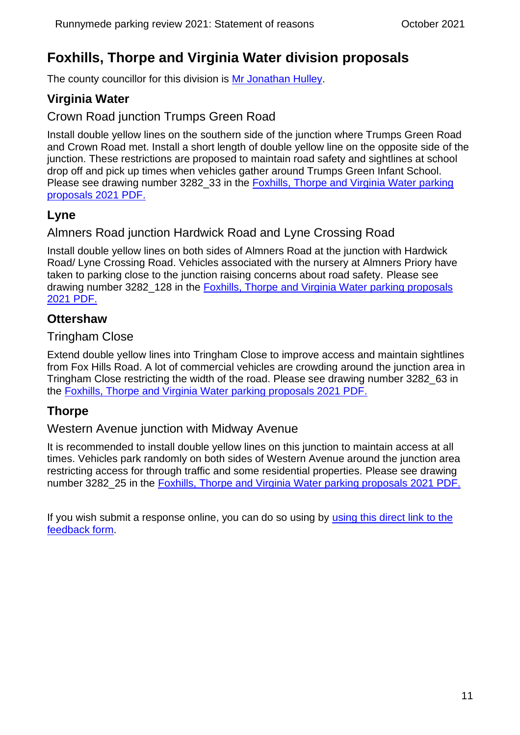# <span id="page-10-0"></span>**Foxhills, Thorpe and Virginia Water division proposals**

The county councillor for this division is [Mr Jonathan Hulley.](https://mycouncil.surreycc.gov.uk/mgUserInfo.aspx?UID=3359)

# <span id="page-10-1"></span>**Virginia Water**

### Crown Road junction Trumps Green Road

Install double yellow lines on the southern side of the junction where Trumps Green Road and Crown Road met. Install a short length of double yellow line on the opposite side of the junction. These restrictions are proposed to maintain road safety and sightlines at school drop off and pick up times when vehicles gather around Trumps Green Infant School. Please see drawing number 3282\_33 in the Foxhills, Thorpe and Virginia Water parking [proposals 2021 PDF.](https://www.surreycc.gov.uk/__data/assets/pdf_file/0004/274720/Foxhills,-Thorpe-and-Virginia-Water-parking-proposals-2021.pdf)

### <span id="page-10-2"></span>**Lyne**

### Almners Road junction Hardwick Road and Lyne Crossing Road

Install double yellow lines on both sides of Almners Road at the junction with Hardwick Road/ Lyne Crossing Road. Vehicles associated with the nursery at Almners Priory have taken to parking close to the junction raising concerns about road safety. Please see drawing number 3282\_128 in the [Foxhills, Thorpe and Virginia Water parking proposals](https://www.surreycc.gov.uk/__data/assets/pdf_file/0004/274720/Foxhills,-Thorpe-and-Virginia-Water-parking-proposals-2021.pdf)  [2021 PDF.](https://www.surreycc.gov.uk/__data/assets/pdf_file/0004/274720/Foxhills,-Thorpe-and-Virginia-Water-parking-proposals-2021.pdf)

### <span id="page-10-3"></span>**Ottershaw**

#### Tringham Close

Extend double yellow lines into Tringham Close to improve access and maintain sightlines from Fox Hills Road. A lot of commercial vehicles are crowding around the junction area in Tringham Close restricting the width of the road. Please see drawing number 3282\_63 in the [Foxhills, Thorpe and Virginia Water parking proposals 2021 PDF.](https://www.surreycc.gov.uk/__data/assets/pdf_file/0004/274720/Foxhills,-Thorpe-and-Virginia-Water-parking-proposals-2021.pdf)

### <span id="page-10-4"></span>**Thorpe**

#### Western Avenue junction with Midway Avenue

It is recommended to install double yellow lines on this junction to maintain access at all times. Vehicles park randomly on both sides of Western Avenue around the junction area restricting access for through traffic and some residential properties. Please see drawing number 3282\_25 in the [Foxhills, Thorpe and Virginia Water parking proposals 2021 PDF.](https://www.surreycc.gov.uk/__data/assets/pdf_file/0004/274720/Foxhills,-Thorpe-and-Virginia-Water-parking-proposals-2021.pdf)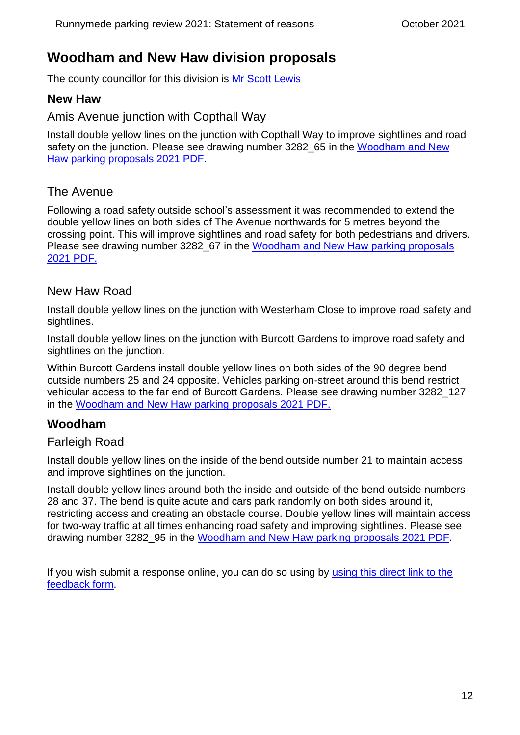# <span id="page-11-0"></span>**Woodham and New Haw division proposals**

The county councillor for this division is [Mr Scott Lewis](https://mycouncil.surreycc.gov.uk/mgUserInfo.aspx?UID=3389)

### <span id="page-11-1"></span>**New Haw**

#### Amis Avenue junction with Copthall Way

Install double yellow lines on the junction with Copthall Way to improve sightlines and road safety on the junction. Please see drawing number 3282 65 in the Woodham and New [Haw parking proposals 2021 PDF.](https://www.surreycc.gov.uk/__data/assets/pdf_file/0017/271232/Woodham-and-New-Haw-parking-proposals-2021.pdf)

### The Avenue

Following a road safety outside school's assessment it was recommended to extend the double yellow lines on both sides of The Avenue northwards for 5 metres beyond the crossing point. This will improve sightlines and road safety for both pedestrians and drivers. Please see drawing number 3282 67 in the Woodham and New Haw parking proposals [2021 PDF.](https://www.surreycc.gov.uk/__data/assets/pdf_file/0017/271232/Woodham-and-New-Haw-parking-proposals-2021.pdf)

#### New Haw Road

Install double yellow lines on the junction with Westerham Close to improve road safety and sightlines.

Install double yellow lines on the junction with Burcott Gardens to improve road safety and sightlines on the junction.

Within Burcott Gardens install double yellow lines on both sides of the 90 degree bend outside numbers 25 and 24 opposite. Vehicles parking on-street around this bend restrict vehicular access to the far end of Burcott Gardens. Please see drawing number 3282\_127 in the [Woodham and New Haw parking proposals 2021 PDF.](https://www.surreycc.gov.uk/__data/assets/pdf_file/0017/271232/Woodham-and-New-Haw-parking-proposals-2021.pdf)

### <span id="page-11-2"></span>**Woodham**

#### Farleigh Road

Install double yellow lines on the inside of the bend outside number 21 to maintain access and improve sightlines on the junction.

Install double yellow lines around both the inside and outside of the bend outside numbers 28 and 37. The bend is quite acute and cars park randomly on both sides around it, restricting access and creating an obstacle course. Double yellow lines will maintain access for two-way traffic at all times enhancing road safety and improving sightlines. Please see drawing number 3282\_95 in the [Woodham and New Haw parking proposals 2021 PDF.](https://www.surreycc.gov.uk/__data/assets/pdf_file/0017/271232/Woodham-and-New-Haw-parking-proposals-2021.pdf)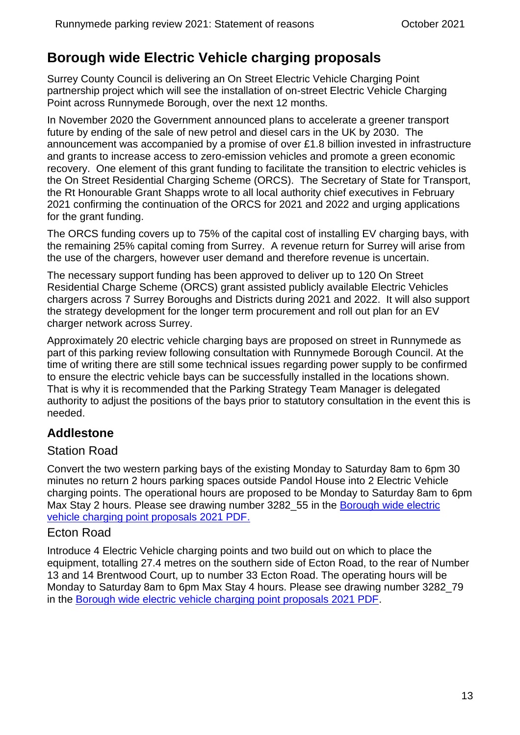# <span id="page-12-0"></span>**Borough wide Electric Vehicle charging proposals**

Surrey County Council is delivering an On Street Electric Vehicle Charging Point partnership project which will see the installation of on-street Electric Vehicle Charging Point across Runnymede Borough, over the next 12 months.

In November 2020 the Government announced plans to accelerate a greener transport future by ending of the sale of new petrol and diesel cars in the UK by 2030. The announcement was accompanied by a promise of over £1.8 billion invested in infrastructure and grants to increase access to zero-emission vehicles and promote a green economic recovery. One element of this grant funding to facilitate the transition to electric vehicles is the On Street Residential Charging Scheme (ORCS). The Secretary of State for Transport, the Rt Honourable Grant Shapps wrote to all local authority chief executives in February 2021 confirming the continuation of the ORCS for 2021 and 2022 and urging applications for the grant funding.

The ORCS funding covers up to 75% of the capital cost of installing EV charging bays, with the remaining 25% capital coming from Surrey. A revenue return for Surrey will arise from the use of the chargers, however user demand and therefore revenue is uncertain.

The necessary support funding has been approved to deliver up to 120 On Street Residential Charge Scheme (ORCS) grant assisted publicly available Electric Vehicles chargers across 7 Surrey Boroughs and Districts during 2021 and 2022. It will also support the strategy development for the longer term procurement and roll out plan for an EV charger network across Surrey.

Approximately 20 electric vehicle charging bays are proposed on street in Runnymede as part of this parking review following consultation with Runnymede Borough Council. At the time of writing there are still some technical issues regarding power supply to be confirmed to ensure the electric vehicle bays can be successfully installed in the locations shown. That is why it is recommended that the Parking Strategy Team Manager is delegated authority to adjust the positions of the bays prior to statutory consultation in the event this is needed.

# <span id="page-12-1"></span>**Addlestone**

### Station Road

Convert the two western parking bays of the existing Monday to Saturday 8am to 6pm 30 minutes no return 2 hours parking spaces outside Pandol House into 2 Electric Vehicle charging points. The operational hours are proposed to be Monday to Saturday 8am to 6pm Max Stay 2 hours. Please see drawing number 3282\_55 in the Borough wide electric [vehicle charging point proposals 2021 PDF.](https://www.surreycc.gov.uk/__data/assets/pdf_file/0019/271234/Borough-wide-Electric-Vehicle-charging-point-location-proppsals-2021.pdf)

#### Ecton Road

Introduce 4 Electric Vehicle charging points and two build out on which to place the equipment, totalling 27.4 metres on the southern side of Ecton Road, to the rear of Number 13 and 14 Brentwood Court, up to number 33 Ecton Road. The operating hours will be Monday to Saturday 8am to 6pm Max Stay 4 hours. Please see drawing number 3282\_79 in the [Borough wide electric vehicle charging point proposals 2021 PDF.](https://www.surreycc.gov.uk/__data/assets/pdf_file/0019/271234/Borough-wide-Electric-Vehicle-charging-point-location-proppsals-2021.pdf)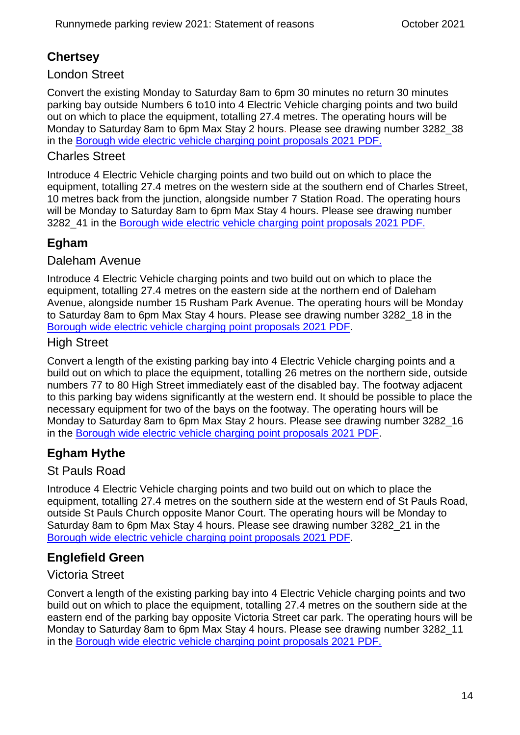# <span id="page-13-0"></span>**Chertsey**

#### London Street

Convert the existing Monday to Saturday 8am to 6pm 30 minutes no return 30 minutes parking bay outside Numbers 6 to10 into 4 Electric Vehicle charging points and two build out on which to place the equipment, totalling 27.4 metres. The operating hours will be Monday to Saturday 8am to 6pm Max Stay 2 hours. Please see drawing number 3282\_38 in the [Borough wide electric vehicle charging point proposals 2021 PDF.](https://www.surreycc.gov.uk/__data/assets/pdf_file/0019/271234/Borough-wide-Electric-Vehicle-charging-point-location-proppsals-2021.pdf)

### Charles Street

Introduce 4 Electric Vehicle charging points and two build out on which to place the equipment, totalling 27.4 metres on the western side at the southern end of Charles Street, 10 metres back from the junction, alongside number 7 Station Road. The operating hours will be Monday to Saturday 8am to 6pm Max Stay 4 hours. Please see drawing number 3282\_41 in the [Borough wide electric vehicle charging point proposals 2021 PDF.](https://www.surreycc.gov.uk/__data/assets/pdf_file/0019/271234/Borough-wide-Electric-Vehicle-charging-point-location-proppsals-2021.pdf)

# <span id="page-13-1"></span>**Egham**

#### Daleham Avenue

Introduce 4 Electric Vehicle charging points and two build out on which to place the equipment, totalling 27.4 metres on the eastern side at the northern end of Daleham Avenue, alongside number 15 Rusham Park Avenue. The operating hours will be Monday to Saturday 8am to 6pm Max Stay 4 hours. Please see drawing number 3282\_18 in the [Borough wide electric vehicle charging point proposals 2021 PDF.](https://www.surreycc.gov.uk/__data/assets/pdf_file/0019/271234/Borough-wide-Electric-Vehicle-charging-point-location-proppsals-2021.pdf)

### High Street

Convert a length of the existing parking bay into 4 Electric Vehicle charging points and a build out on which to place the equipment, totalling 26 metres on the northern side, outside numbers 77 to 80 High Street immediately east of the disabled bay. The footway adjacent to this parking bay widens significantly at the western end. It should be possible to place the necessary equipment for two of the bays on the footway. The operating hours will be Monday to Saturday 8am to 6pm Max Stay 2 hours. Please see drawing number 3282\_16 in the [Borough wide electric vehicle charging point proposals 2021 PDF.](https://www.surreycc.gov.uk/__data/assets/pdf_file/0019/271234/Borough-wide-Electric-Vehicle-charging-point-location-proppsals-2021.pdf)

# <span id="page-13-2"></span>**Egham Hythe**

### St Pauls Road

Introduce 4 Electric Vehicle charging points and two build out on which to place the equipment, totalling 27.4 metres on the southern side at the western end of St Pauls Road, outside St Pauls Church opposite Manor Court. The operating hours will be Monday to Saturday 8am to 6pm Max Stay 4 hours. Please see drawing number 3282\_21 in the [Borough wide electric vehicle charging point proposals 2021 PDF.](https://www.surreycc.gov.uk/__data/assets/pdf_file/0019/271234/Borough-wide-Electric-Vehicle-charging-point-location-proppsals-2021.pdf)

# <span id="page-13-3"></span>**Englefield Green**

### Victoria Street

Convert a length of the existing parking bay into 4 Electric Vehicle charging points and two build out on which to place the equipment, totalling 27.4 metres on the southern side at the eastern end of the parking bay opposite Victoria Street car park. The operating hours will be Monday to Saturday 8am to 6pm Max Stay 4 hours. Please see drawing number 3282\_11 in the [Borough wide electric vehicle charging point proposals 2021 PDF.](https://www.surreycc.gov.uk/__data/assets/pdf_file/0019/271234/Borough-wide-Electric-Vehicle-charging-point-location-proppsals-2021.pdf)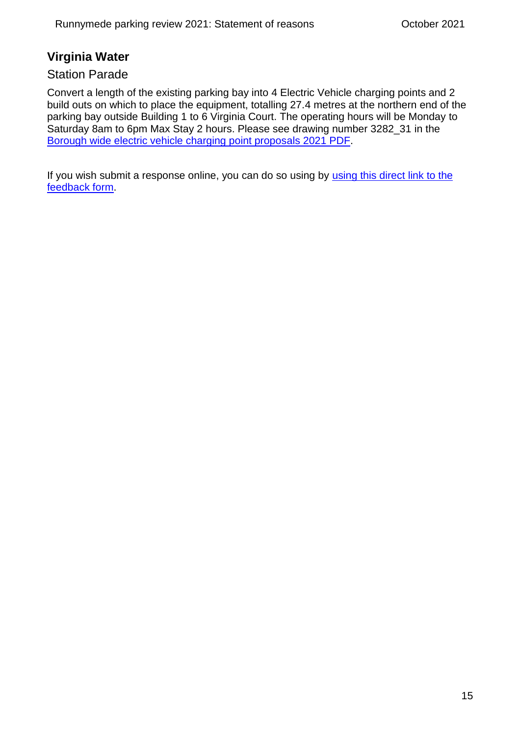### <span id="page-14-0"></span>**Virginia Water**

#### Station Parade

Convert a length of the existing parking bay into 4 Electric Vehicle charging points and 2 build outs on which to place the equipment, totalling 27.4 metres at the northern end of the parking bay outside Building 1 to 6 Virginia Court. The operating hours will be Monday to Saturday 8am to 6pm Max Stay 2 hours. Please see drawing number 3282\_31 in the [Borough wide electric vehicle charging point proposals 2021 PDF.](https://www.surreycc.gov.uk/__data/assets/pdf_file/0019/271234/Borough-wide-Electric-Vehicle-charging-point-location-proppsals-2021.pdf)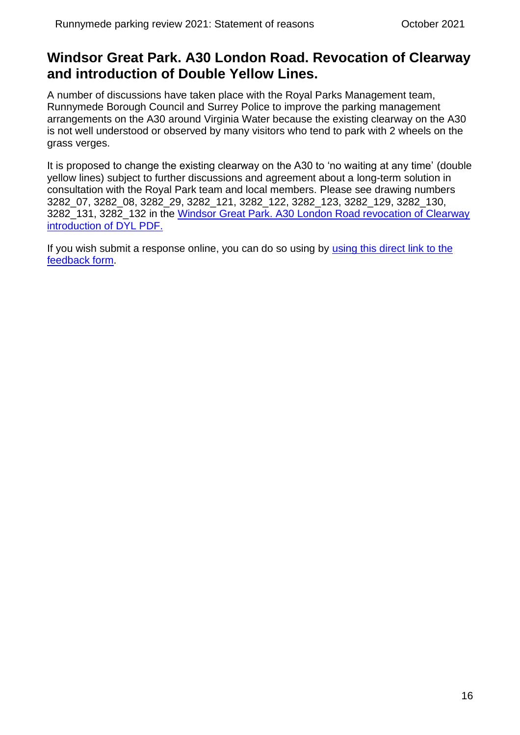# <span id="page-15-0"></span>**Windsor Great Park. A30 London Road. Revocation of Clearway and introduction of Double Yellow Lines.**

A number of discussions have taken place with the Royal Parks Management team, Runnymede Borough Council and Surrey Police to improve the parking management arrangements on the A30 around Virginia Water because the existing clearway on the A30 is not well understood or observed by many visitors who tend to park with 2 wheels on the grass verges.

It is proposed to change the existing clearway on the A30 to 'no waiting at any time' (double yellow lines) subject to further discussions and agreement about a long-term solution in consultation with the Royal Park team and local members. Please see drawing numbers 3282\_07, 3282\_08, 3282\_29, 3282\_121, 3282\_122, 3282\_123, 3282\_129, 3282\_130, 3282\_131, 3282\_132 in the Windsor Great Park. [A30 London Road revocation of Clearway](https://www.surreycc.gov.uk/__data/assets/pdf_file/0003/271236/Windsor-Great-Park.-A30-London-Road.-Revocation-of-existing-Clearway-order-and-introduction-of-double-yellow-lines.pdf)  [introduction of DYL PDF.](https://www.surreycc.gov.uk/__data/assets/pdf_file/0003/271236/Windsor-Great-Park.-A30-London-Road.-Revocation-of-existing-Clearway-order-and-introduction-of-double-yellow-lines.pdf)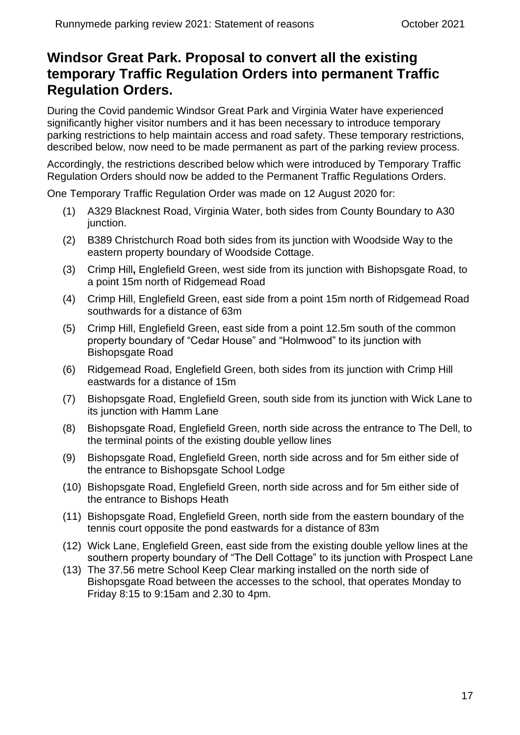# <span id="page-16-0"></span>**Windsor Great Park. Proposal to convert all the existing temporary Traffic Regulation Orders into permanent Traffic Regulation Orders.**

During the Covid pandemic Windsor Great Park and Virginia Water have experienced significantly higher visitor numbers and it has been necessary to introduce temporary parking restrictions to help maintain access and road safety. These temporary restrictions, described below, now need to be made permanent as part of the parking review process.

Accordingly, the restrictions described below which were introduced by Temporary Traffic Regulation Orders should now be added to the Permanent Traffic Regulations Orders.

One Temporary Traffic Regulation Order was made on 12 August 2020 for:

- (1) A329 Blacknest Road, Virginia Water, both sides from County Boundary to A30 junction.
- (2) B389 Christchurch Road both sides from its junction with Woodside Way to the eastern property boundary of Woodside Cottage.
- (3) Crimp Hill**,** Englefield Green, west side from its junction with Bishopsgate Road, to a point 15m north of Ridgemead Road
- (4) Crimp Hill, Englefield Green, east side from a point 15m north of Ridgemead Road southwards for a distance of 63m
- (5) Crimp Hill, Englefield Green, east side from a point 12.5m south of the common property boundary of "Cedar House" and "Holmwood" to its junction with Bishopsgate Road
- (6) Ridgemead Road, Englefield Green, both sides from its junction with Crimp Hill eastwards for a distance of 15m
- (7) Bishopsgate Road, Englefield Green, south side from its junction with Wick Lane to its junction with Hamm Lane
- (8) Bishopsgate Road, Englefield Green, north side across the entrance to The Dell, to the terminal points of the existing double yellow lines
- (9) Bishopsgate Road, Englefield Green, north side across and for 5m either side of the entrance to Bishopsgate School Lodge
- (10) Bishopsgate Road, Englefield Green, north side across and for 5m either side of the entrance to Bishops Heath
- (11) Bishopsgate Road, Englefield Green, north side from the eastern boundary of the tennis court opposite the pond eastwards for a distance of 83m
- (12) Wick Lane, Englefield Green, east side from the existing double yellow lines at the southern property boundary of "The Dell Cottage" to its junction with Prospect Lane
- (13) The 37.56 metre School Keep Clear marking installed on the north side of Bishopsgate Road between the accesses to the school, that operates Monday to Friday 8:15 to 9:15am and 2.30 to 4pm.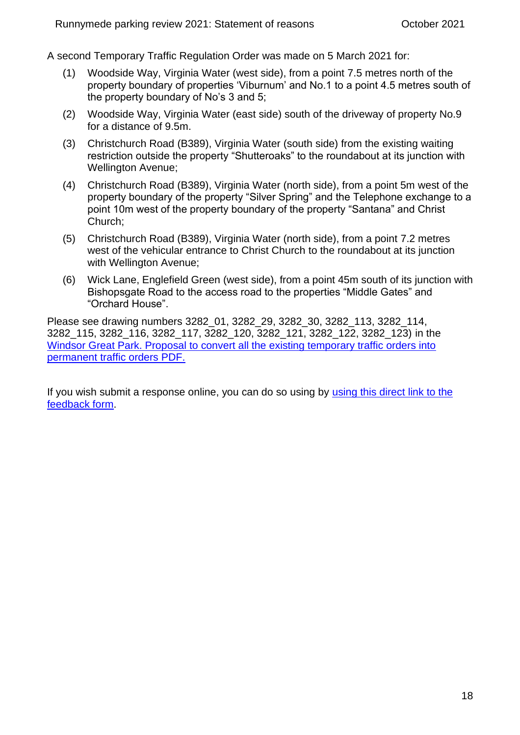A second Temporary Traffic Regulation Order was made on 5 March 2021 for:

- (1) Woodside Way, Virginia Water (west side), from a point 7.5 metres north of the property boundary of properties 'Viburnum' and No.1 to a point 4.5 metres south of the property boundary of No's 3 and 5;
- (2) Woodside Way, Virginia Water (east side) south of the driveway of property No.9 for a distance of 9.5m.
- (3) Christchurch Road (B389), Virginia Water (south side) from the existing waiting restriction outside the property "Shutteroaks" to the roundabout at its junction with Wellington Avenue;
- (4) Christchurch Road (B389), Virginia Water (north side), from a point 5m west of the property boundary of the property "Silver Spring" and the Telephone exchange to a point 10m west of the property boundary of the property "Santana" and Christ Church;
- (5) Christchurch Road (B389), Virginia Water (north side), from a point 7.2 metres west of the vehicular entrance to Christ Church to the roundabout at its junction with Wellington Avenue;
- (6) Wick Lane, Englefield Green (west side), from a point 45m south of its junction with Bishopsgate Road to the access road to the properties "Middle Gates" and "Orchard House".

Please see drawing numbers 3282\_01, 3282\_29, 3282\_30, 3282\_113, 3282\_114, 3282\_115, 3282\_116, 3282\_117, 3282\_120, 3282\_121, 3282\_122, 3282\_123) in the [Windsor Great Park. Proposal to convert all the existing temporary traffic orders into](https://www.surreycc.gov.uk/__data/assets/pdf_file/0005/271238/Windsor-Great-Park.-Converting-temporary-Traffic-Regulation-Orders-into-permanent-orders.pdf)  [permanent traffic orders PDF.](https://www.surreycc.gov.uk/__data/assets/pdf_file/0005/271238/Windsor-Great-Park.-Converting-temporary-Traffic-Regulation-Orders-into-permanent-orders.pdf)